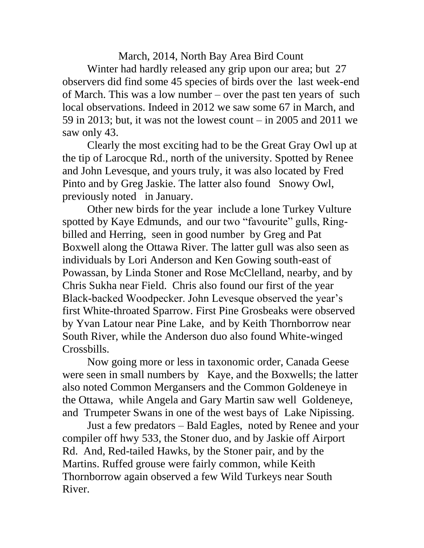March, 2014, North Bay Area Bird Count

Winter had hardly released any grip upon our area; but 27 observers did find some 45 species of birds over the last week-end of March. This was a low number – over the past ten years of such local observations. Indeed in 2012 we saw some 67 in March, and 59 in 2013; but, it was not the lowest count – in 2005 and 2011 we saw only 43.

Clearly the most exciting had to be the Great Gray Owl up at the tip of Larocque Rd., north of the university. Spotted by Renee and John Levesque, and yours truly, it was also located by Fred Pinto and by Greg Jaskie. The latter also found Snowy Owl, previously noted in January.

Other new birds for the year include a lone Turkey Vulture spotted by Kaye Edmunds, and our two "favourite" gulls, Ringbilled and Herring, seen in good number by Greg and Pat Boxwell along the Ottawa River. The latter gull was also seen as individuals by Lori Anderson and Ken Gowing south-east of Powassan, by Linda Stoner and Rose McClelland, nearby, and by Chris Sukha near Field. Chris also found our first of the year Black-backed Woodpecker. John Levesque observed the year's first White-throated Sparrow. First Pine Grosbeaks were observed by Yvan Latour near Pine Lake, and by Keith Thornborrow near South River, while the Anderson duo also found White-winged Crossbills.

Now going more or less in taxonomic order, Canada Geese were seen in small numbers by Kaye, and the Boxwells; the latter also noted Common Mergansers and the Common Goldeneye in the Ottawa, while Angela and Gary Martin saw well Goldeneye, and Trumpeter Swans in one of the west bays of Lake Nipissing.

Just a few predators – Bald Eagles, noted by Renee and your compiler off hwy 533, the Stoner duo, and by Jaskie off Airport Rd. And, Red-tailed Hawks, by the Stoner pair, and by the Martins. Ruffed grouse were fairly common, while Keith Thornborrow again observed a few Wild Turkeys near South River.